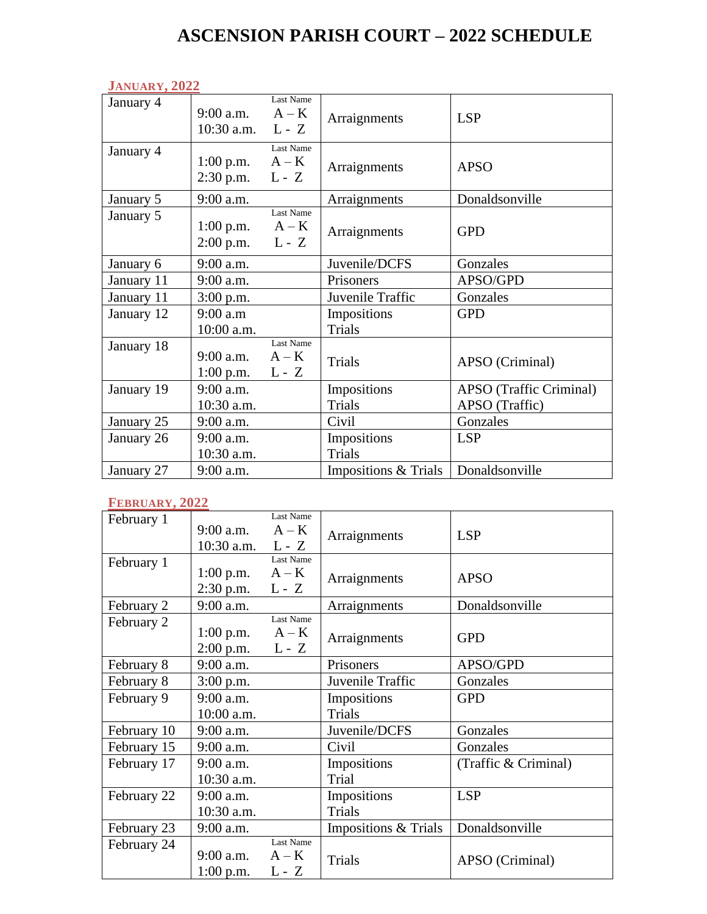# **ASCENSION PARISH COURT – 2022 SCHEDULE**

|            | <b>JANUARY, 2022</b>                    |                                 |                      |                                |  |  |
|------------|-----------------------------------------|---------------------------------|----------------------|--------------------------------|--|--|
| January 4  | 9:00 a.m. $A - K$<br>10:30 a.m. $L - Z$ | Last Name                       | Arraignments         | <b>LSP</b>                     |  |  |
| January 4  | $1:00$ p.m.<br>$2:30$ p.m.              | Last Name<br>$A - K$<br>$L - Z$ | Arraignments         | <b>APSO</b>                    |  |  |
| January 5  | 9:00 a.m.                               |                                 | Arraignments         | Donaldsonville                 |  |  |
| January 5  | $1:00$ p.m.<br>$2:00$ p.m.              | Last Name<br>$A - K$<br>$L - Z$ | Arraignments         | <b>GPD</b>                     |  |  |
| January 6  | $9:00$ a.m.                             |                                 | Juvenile/DCFS        | Gonzales                       |  |  |
| January 11 | 9:00 a.m.                               |                                 | Prisoners            | APSO/GPD                       |  |  |
| January 11 | $3:00$ p.m.                             |                                 | Juvenile Traffic     | Gonzales                       |  |  |
| January 12 | $9:00$ a.m                              |                                 | Impositions          | <b>GPD</b>                     |  |  |
|            | 10:00 a.m.                              |                                 | <b>Trials</b>        |                                |  |  |
| January 18 | 9:00 a.m.<br>$1:00$ p.m.                | Last Name<br>$A - K$<br>$L - Z$ | <b>Trials</b>        | APSO (Criminal)                |  |  |
| January 19 | 9:00 a.m.                               |                                 | Impositions          | <b>APSO</b> (Traffic Criminal) |  |  |
|            | 10:30 a.m.                              |                                 | <b>Trials</b>        | APSO (Traffic)                 |  |  |
| January 25 | $9:00$ a.m.                             |                                 | Civil                | Gonzales                       |  |  |
| January 26 | $9:00$ a.m.                             |                                 | Impositions          | <b>LSP</b>                     |  |  |
|            | 10:30 a.m.                              |                                 | <b>Trials</b>        |                                |  |  |
| January 27 | 9:00 a.m.                               |                                 | Impositions & Trials | Donaldsonville                 |  |  |

#### **FEBRUARY, 2022**

| February 1  |                    | Last Name |                      |                      |
|-------------|--------------------|-----------|----------------------|----------------------|
|             | $9:00$ a.m.        | $A - K$   | Arraignments         | <b>LSP</b>           |
|             | 10:30 a.m. $L - Z$ |           |                      |                      |
| February 1  |                    | Last Name |                      |                      |
|             | $1:00$ p.m.        | $A - K$   | Arraignments         | <b>APSO</b>          |
|             | $2:30$ p.m.        | $L - Z$   |                      |                      |
| February 2  | $9:00$ a.m.        |           | Arraignments         | Donaldsonville       |
| February 2  |                    | Last Name |                      |                      |
|             | $1:00$ p.m.        | $A - K$   | Arraignments         | <b>GPD</b>           |
|             | $2:00$ p.m.        | $L - Z$   |                      |                      |
| February 8  | $9:00$ a.m.        |           | Prisoners            | APSO/GPD             |
| February 8  | $3:00$ p.m.        |           | Juvenile Traffic     | Gonzales             |
| February 9  | $9:00$ a.m.        |           | Impositions          | <b>GPD</b>           |
|             | 10:00 a.m.         |           | Trials               |                      |
| February 10 | $9:00$ a.m.        |           | Juvenile/DCFS        | Gonzales             |
| February 15 | 9:00 a.m.          |           | Civil                | Gonzales             |
| February 17 | 9:00 a.m.          |           | Impositions          | (Traffic & Criminal) |
|             | 10:30 a.m.         |           | Trial                |                      |
| February 22 | $9:00$ a.m.        |           | Impositions          | <b>LSP</b>           |
|             | 10:30 a.m.         |           | <b>Trials</b>        |                      |
| February 23 | 9:00 a.m.          |           | Impositions & Trials | Donaldsonville       |
| February 24 |                    | Last Name |                      |                      |
|             | $9:00$ a.m.        | $A - K$   | Trials               | APSO (Criminal)      |
|             | $1:00$ p.m.        | $L - Z$   |                      |                      |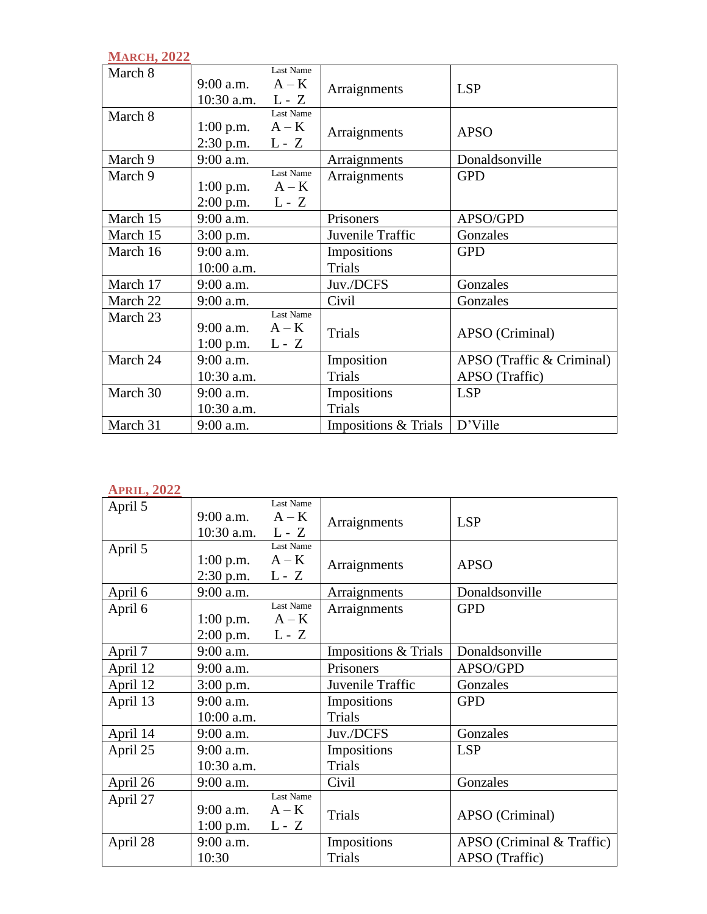| <b>MARCH, 2022</b> |                                   |                                 |                      |                           |
|--------------------|-----------------------------------|---------------------------------|----------------------|---------------------------|
| March 8            | $9:00$ a.m.<br>10:30 a.m. $L - Z$ | Last Name<br>$A - K$            | Arraignments         | <b>LSP</b>                |
| March 8            | $1:00$ p.m.<br>$2:30$ p.m.        | Last Name<br>$A - K$<br>$L - Z$ | Arraignments         | <b>APSO</b>               |
| March 9            | 9:00 a.m.                         |                                 | Arraignments         | Donaldsonville            |
| March 9            |                                   | Last Name                       | Arraignments         | <b>GPD</b>                |
|                    | $1:00$ p.m.                       | $A - K$                         |                      |                           |
|                    | $2:00$ p.m.                       | $L - Z$                         |                      |                           |
| March 15           | $9:00$ a.m.                       |                                 | Prisoners            | APSO/GPD                  |
| March 15           | $3:00$ p.m.                       |                                 | Juvenile Traffic     | Gonzales                  |
| March 16           | $9:00$ a.m.                       |                                 | Impositions          | <b>GPD</b>                |
|                    | 10:00 a.m.                        |                                 | Trials               |                           |
| March 17           | 9:00 a.m.                         |                                 | Juv./DCFS            | Gonzales                  |
| March 22           | 9:00 a.m.                         |                                 | Civil                | Gonzales                  |
| March 23           | $9:00$ a.m.<br>1:00 p.m. $L - Z$  | Last Name<br>$A - K$            | <b>Trials</b>        | APSO (Criminal)           |
| March 24           | $9:00$ a.m.                       |                                 | Imposition           | APSO (Traffic & Criminal) |
|                    | 10:30 a.m.                        |                                 | Trials               | APSO (Traffic)            |
| March 30           | $9:00$ a.m.                       |                                 | Impositions          | <b>LSP</b>                |
|                    | 10:30 a.m.                        |                                 | <b>Trials</b>        |                           |
| March 31           | 9:00 a.m.                         |                                 | Impositions & Trials | D'Ville                   |

#### **APRIL, 2022**

|          |                             | Last Name                       |                              |                                             |
|----------|-----------------------------|---------------------------------|------------------------------|---------------------------------------------|
| April 5  | $9:00$ a.m.<br>$10:30$ a.m. | $A - K$<br>$L - Z$              | Arraignments                 | <b>LSP</b>                                  |
| April 5  | $1:00$ p.m.<br>$2:30$ p.m.  | Last Name<br>$A - K$<br>$L - Z$ | Arraignments                 | <b>APSO</b>                                 |
| April 6  | 9:00 a.m.                   |                                 | Arraignments                 | Donaldsonville                              |
| April 6  | $1:00$ p.m.<br>$2:00$ p.m.  | Last Name<br>$A - K$<br>$L - Z$ | Arraignments                 | <b>GPD</b>                                  |
| April 7  | $9:00$ a.m.                 |                                 | Impositions & Trials         | Donaldsonville                              |
| April 12 | 9:00 a.m.                   |                                 | Prisoners                    | APSO/GPD                                    |
| April 12 | $3:00$ p.m.                 |                                 | Juvenile Traffic             | Gonzales                                    |
| April 13 | $9:00$ a.m.<br>10:00 a.m.   |                                 | Impositions<br>Trials        | <b>GPD</b>                                  |
| April 14 | 9:00 a.m.                   |                                 | Juv./DCFS                    | Gonzales                                    |
| April 25 | 9:00 a.m.<br>10:30 a.m.     |                                 | Impositions<br>Trials        | <b>LSP</b>                                  |
| April 26 | 9:00 a.m.                   |                                 | Civil                        | Gonzales                                    |
| April 27 | $9:00$ a.m.<br>$1:00$ p.m.  | Last Name<br>$A - K$<br>$L - Z$ | <b>Trials</b>                | APSO (Criminal)                             |
| April 28 | 9:00 a.m.<br>10:30          |                                 | Impositions<br><b>Trials</b> | APSO (Criminal & Traffic)<br>APSO (Traffic) |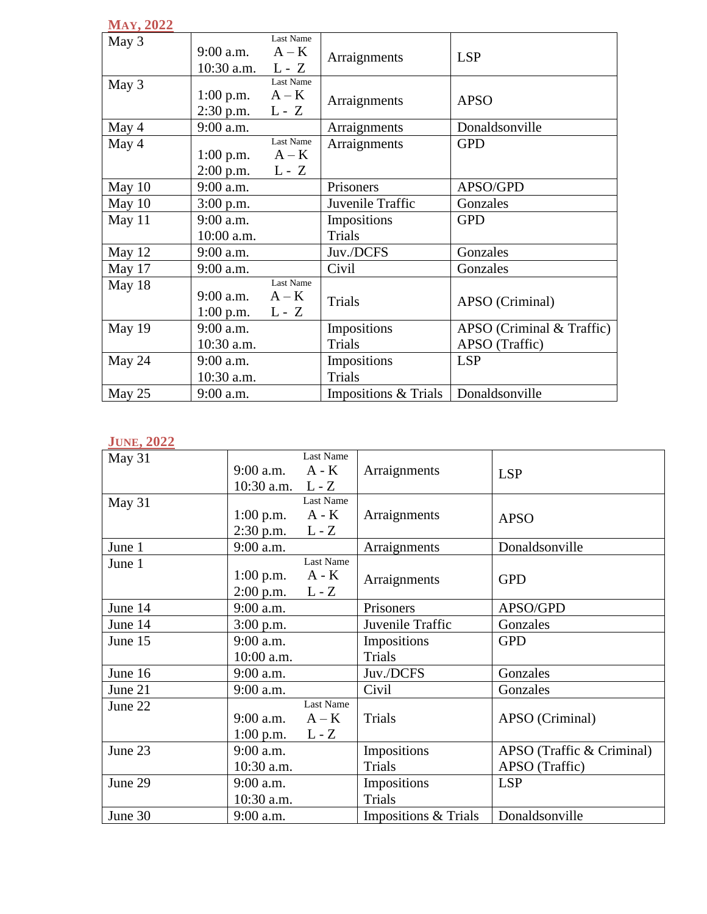| <b>MAY, 2022</b> |                                   |                                 |                              |                                                 |
|------------------|-----------------------------------|---------------------------------|------------------------------|-------------------------------------------------|
| May 3            | $9:00$ a.m.<br>10:30 a.m. $L - Z$ | Last Name<br>$A - K$            | Arraignments                 | <b>LSP</b>                                      |
| May 3            | $1:00$ p.m.<br>$2:30$ p.m.        | Last Name<br>$A - K$<br>$L - Z$ | Arraignments                 | <b>APSO</b>                                     |
| May 4            | 9:00 a.m.                         |                                 | Arraignments                 | Donaldsonville                                  |
| May 4            | $1:00$ p.m.<br>$2:00$ p.m.        | Last Name<br>$A - K$<br>$L - Z$ | Arraignments                 | <b>GPD</b>                                      |
| May 10           | $9:00$ a.m.                       |                                 | Prisoners                    | APSO/GPD                                        |
| May 10           | 3:00 p.m.                         |                                 | Juvenile Traffic             | Gonzales                                        |
| May 11           | 9:00 a.m.<br>10:00 a.m.           |                                 | Impositions<br><b>Trials</b> | <b>GPD</b>                                      |
| May 12           | 9:00 a.m.                         |                                 | Juv./DCFS                    | Gonzales                                        |
| May 17           | $9:00$ a.m.                       |                                 | Civil                        | Gonzales                                        |
| May 18           | $9:00$ a.m.<br>$1:00$ p.m.        | Last Name<br>$A - K$<br>$L - Z$ | Trials                       | APSO (Criminal)                                 |
| May 19           | $9:00$ a.m.<br>10:30 a.m.         |                                 | Impositions<br>Trials        | $APSO$ (Criminal $&$ Traffic)<br>APSO (Traffic) |
| May 24           | $9:00$ a.m.<br>$10:30$ a.m.       |                                 | Impositions<br>Trials        | <b>LSP</b>                                      |
| May 25           | 9:00 a.m.                         |                                 | Impositions & Trials         | Donaldsonville                                  |

## **JUNE, 2022**

| May 31  | $9:00$ a.m.        | Last Name<br>$A - K$ | Arraignments         | <b>LSP</b>                |
|---------|--------------------|----------------------|----------------------|---------------------------|
|         | 10:30 a.m. $L - Z$ |                      |                      |                           |
| May 31  |                    | Last Name            |                      |                           |
|         | $1:00$ p.m.        | A - K                | Arraignments         | <b>APSO</b>               |
|         | $2:30$ p.m.        | $L - Z$              |                      |                           |
| June 1  | 9:00 a.m.          |                      | Arraignments         | Donaldsonville            |
| June 1  |                    | Last Name            |                      |                           |
|         | $1:00$ p.m.        | $A - K$              | Arraignments         | <b>GPD</b>                |
|         | $2:00$ p.m.        | $L - Z$              |                      |                           |
| June 14 | 9:00 a.m.          |                      | Prisoners            | APSO/GPD                  |
| June 14 | $3:00$ p.m.        |                      | Juvenile Traffic     | Gonzales                  |
| June 15 | $9:00$ a.m.        |                      | Impositions          | <b>GPD</b>                |
|         | 10:00 a.m.         |                      | Trials               |                           |
| June 16 | $9:00$ a.m.        |                      | Juv./DCFS            | Gonzales                  |
| June 21 | $9:00$ a.m.        |                      | Civil                | Gonzales                  |
| June 22 |                    | Last Name            |                      |                           |
|         | $9:00$ a.m.        | $A - K$              | Trials               | APSO (Criminal)           |
|         | $1:00$ p.m.        | $L - Z$              |                      |                           |
| June 23 | $9:00$ a.m.        |                      | Impositions          | APSO (Traffic & Criminal) |
|         | 10:30 a.m.         |                      | Trials               | APSO (Traffic)            |
| June 29 | $9:00$ a.m.        |                      | Impositions          | <b>LSP</b>                |
|         | 10:30 a.m.         |                      | Trials               |                           |
| June 30 | 9:00 a.m.          |                      | Impositions & Trials | Donaldsonville            |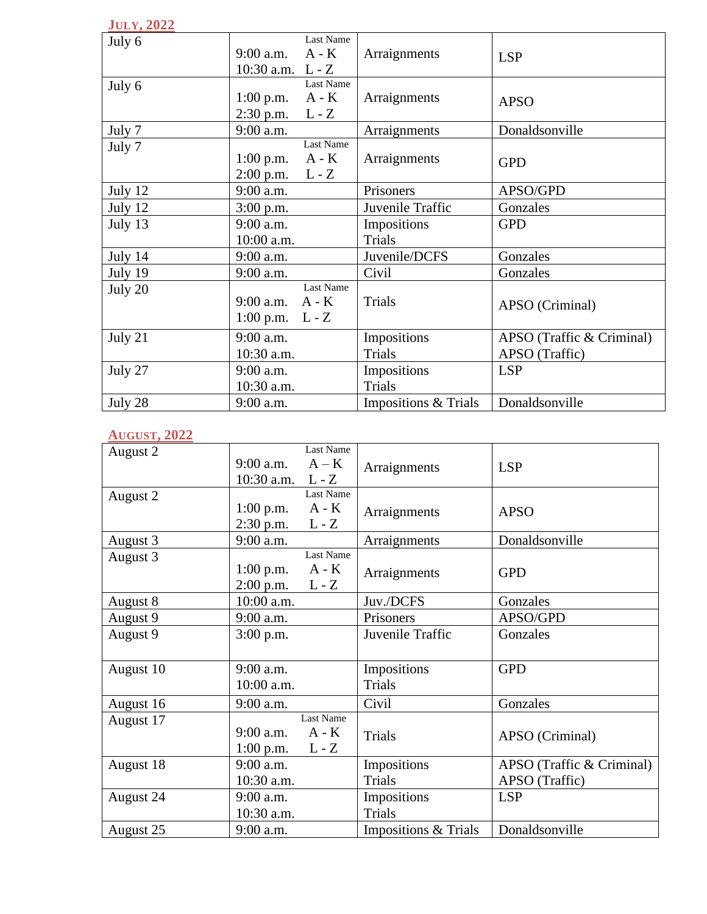# **JULY, 2022**

| July 6  | $9:00$ a.m.<br>10:30 a.m. $L - Z$      | <b>Last Name</b><br>$A - K$ | Arraignments                 | <b>LSP</b>                                  |
|---------|----------------------------------------|-----------------------------|------------------------------|---------------------------------------------|
| July 6  | 1:00 p.m. $A - K$<br>$2:30$ p.m.       | <b>Last Name</b><br>$L - Z$ | Arraignments                 | <b>APSO</b>                                 |
| July 7  | 9:00 a.m.                              |                             | Arraignments                 | Donaldsonville                              |
| July 7  | $1:00$ p.m.<br>$2:00$ p.m. L - Z       | Last Name<br>A - K          | Arraignments                 | <b>GPD</b>                                  |
| July 12 | 9:00 a.m.                              |                             | Prisoners                    | APSO/GPD                                    |
| July 12 | $3:00$ p.m.                            |                             | Juvenile Traffic             | Gonzales                                    |
| July 13 | 9:00 a.m.                              |                             | Impositions                  | <b>GPD</b>                                  |
|         | 10:00 a.m.                             |                             | <b>Trials</b>                |                                             |
| July 14 | $9:00$ a.m.                            |                             | Juvenile/DCFS                | Gonzales                                    |
| July 19 | 9:00 a.m.                              |                             | Civil                        | Gonzales                                    |
| July 20 | 9:00 a.m. $A - K$<br>1:00 p.m. $L - Z$ | Last Name                   | Trials                       | APSO (Criminal)                             |
| July 21 | 9:00 a.m.<br>10:30 a.m.                |                             | Impositions<br><b>Trials</b> | APSO (Traffic & Criminal)<br>APSO (Traffic) |
| July 27 | 9:00 a.m.<br>10:30 a.m.                |                             | Impositions<br><b>Trials</b> | <b>LSP</b>                                  |
| July 28 | $9:00$ a.m.                            |                             | Impositions & Trials         | Donaldsonville                              |

# **AUGUST, 2022**

| August 2  |              | Last Name        |                      |                           |
|-----------|--------------|------------------|----------------------|---------------------------|
|           | 9:00 a.m.    | $A - K$          | Arraignments         | <b>LSP</b>                |
|           | $10:30$ a.m. | $L - Z$          |                      |                           |
| August 2  |              | Last Name        |                      |                           |
|           | $1:00$ p.m.  | $A - K$          | Arraignments         | <b>APSO</b>               |
|           | $2:30$ p.m.  | $L - Z$          |                      |                           |
| August 3  | 9:00 a.m.    |                  | Arraignments         | Donaldsonville            |
| August 3  |              | <b>Last Name</b> |                      |                           |
|           | $1:00$ p.m.  | $A - K$          | Arraignments         | <b>GPD</b>                |
|           | $2:00$ p.m.  | $L - Z$          |                      |                           |
| August 8  | 10:00 a.m.   |                  | Juv./DCFS            | Gonzales                  |
| August 9  | 9:00 a.m.    |                  | Prisoners            | APSO/GPD                  |
| August 9  | $3:00$ p.m.  |                  | Juvenile Traffic     | Gonzales                  |
|           |              |                  |                      |                           |
| August 10 | 9:00 a.m.    |                  | Impositions          | <b>GPD</b>                |
|           | $10:00$ a.m. |                  | <b>Trials</b>        |                           |
| August 16 | 9:00 a.m.    |                  | Civil                | Gonzales                  |
| August 17 |              | Last Name        |                      |                           |
|           | $9:00$ a.m.  | $A - K$          | <b>Trials</b>        | APSO (Criminal)           |
|           | $1:00$ p.m.  | $L - Z$          |                      |                           |
| August 18 | 9:00 a.m.    |                  | Impositions          | APSO (Traffic & Criminal) |
|           | 10:30 a.m.   |                  | Trials               | APSO (Traffic)            |
| August 24 | 9:00 a.m.    |                  | Impositions          | <b>LSP</b>                |
|           | 10:30 a.m.   |                  | <b>Trials</b>        |                           |
| August 25 | 9:00 a.m.    |                  | Impositions & Trials | Donaldsonville            |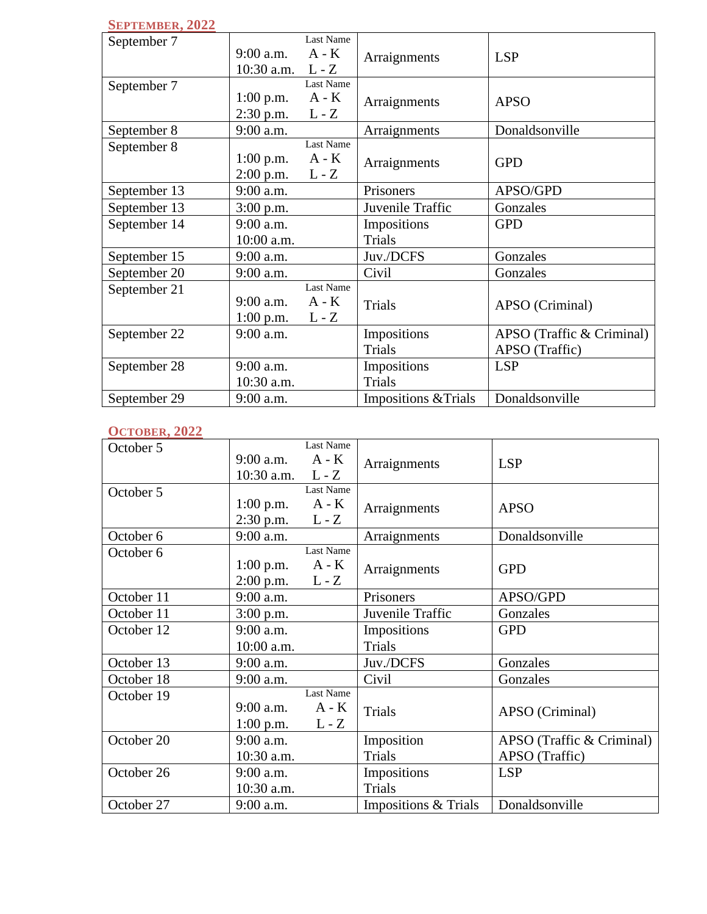#### **SEPTEMBER, 2022**

| September 7  |                    | Last Name |                      |                           |
|--------------|--------------------|-----------|----------------------|---------------------------|
|              | $9:00$ a.m.        | $A - K$   |                      |                           |
|              |                    |           | Arraignments         | <b>LSP</b>                |
|              | 10:30 a.m. $L - Z$ |           |                      |                           |
| September 7  |                    | Last Name |                      |                           |
|              | $1:00$ p.m.        | $A - K$   | Arraignments         | <b>APSO</b>               |
|              | $2:30$ p.m.        | $L - Z$   |                      |                           |
| September 8  | 9:00 a.m.          |           | Arraignments         | Donaldsonville            |
| September 8  |                    | Last Name |                      |                           |
|              | $1:00$ p.m.        | $A - K$   | Arraignments         | <b>GPD</b>                |
|              | $2:00$ p.m.        | $L - Z$   |                      |                           |
| September 13 | 9:00 a.m.          |           | Prisoners            | APSO/GPD                  |
| September 13 | $3:00$ p.m.        |           | Juvenile Traffic     | Gonzales                  |
| September 14 | $9:00$ a.m.        |           | Impositions          | <b>GPD</b>                |
|              | 10:00 a.m.         |           | Trials               |                           |
| September 15 | 9:00 a.m.          |           | Juv./DCFS            | Gonzales                  |
| September 20 | 9:00 a.m.          |           | Civil                | Gonzales                  |
| September 21 |                    | Last Name |                      |                           |
|              | $9:00$ a.m.        | $A - K$   | Trials               | APSO (Criminal)           |
|              | $1:00$ p.m.        | $L - Z$   |                      |                           |
| September 22 | 9:00 a.m.          |           | Impositions          | APSO (Traffic & Criminal) |
|              |                    |           | Trials               | APSO (Traffic)            |
| September 28 | $9:00$ a.m.        |           | Impositions          | <b>LSP</b>                |
|              | 10:30 a.m.         |           | Trials               |                           |
| September 29 | 9:00 a.m.          |           | Impositions & Trials | Donaldsonville            |

## **OCTOBER, 2022**

| October 5  | $9:00$ a.m.        | Last Name<br>$A - K$ | Arraignments         | <b>LSP</b>                |
|------------|--------------------|----------------------|----------------------|---------------------------|
|            | 10:30 a.m. $L - Z$ |                      |                      |                           |
| October 5  |                    | Last Name            |                      |                           |
|            | $1:00$ p.m.        | $A - K$              | Arraignments         | <b>APSO</b>               |
|            | $2:30$ p.m.        | $L - Z$              |                      |                           |
| October 6  | 9:00 a.m.          |                      | Arraignments         | Donaldsonville            |
| October 6  |                    | Last Name            |                      |                           |
|            | $1:00$ p.m.        | $A - K$              | Arraignments         | <b>GPD</b>                |
|            | $2:00$ p.m.        | $L - Z$              |                      |                           |
| October 11 | 9:00 a.m.          |                      | Prisoners            | APSO/GPD                  |
| October 11 | $3:00$ p.m.        |                      | Juvenile Traffic     | Gonzales                  |
| October 12 | $9:00$ a.m.        |                      | Impositions          | <b>GPD</b>                |
|            | 10:00 a.m.         |                      | Trials               |                           |
| October 13 | 9:00 a.m.          |                      | Juv./DCFS            | Gonzales                  |
| October 18 | 9:00 a.m.          |                      | Civil                | Gonzales                  |
| October 19 |                    | <b>Last Name</b>     |                      |                           |
|            | $9:00$ a.m.        | $A - K$              | Trials               | APSO (Criminal)           |
|            | $1:00$ p.m.        | $L - Z$              |                      |                           |
| October 20 | 9:00 a.m.          |                      | Imposition           | APSO (Traffic & Criminal) |
|            | 10:30 a.m.         |                      | <b>Trials</b>        | APSO (Traffic)            |
| October 26 | 9:00 a.m.          |                      | Impositions          | <b>LSP</b>                |
|            | 10:30 a.m.         |                      | <b>Trials</b>        |                           |
| October 27 | 9:00 a.m.          |                      | Impositions & Trials | Donaldsonville            |